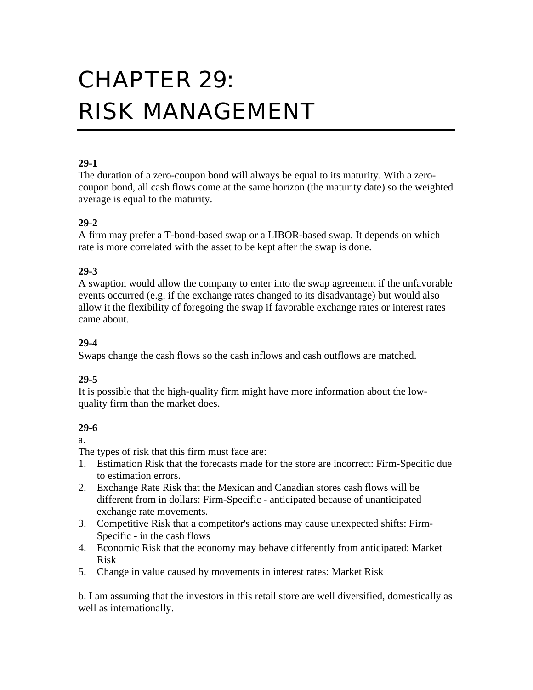# CHAPTER 29: RISK MANAGEMENT

# **29-1**

The duration of a zero-coupon bond will always be equal to its maturity. With a zerocoupon bond, all cash flows come at the same horizon (the maturity date) so the weighted average is equal to the maturity.

### **29-2**

A firm may prefer a T-bond-based swap or a LIBOR-based swap. It depends on which rate is more correlated with the asset to be kept after the swap is done.

# **29-3**

A swaption would allow the company to enter into the swap agreement if the unfavorable events occurred (e.g. if the exchange rates changed to its disadvantage) but would also allow it the flexibility of foregoing the swap if favorable exchange rates or interest rates came about.

# **29-4**

Swaps change the cash flows so the cash inflows and cash outflows are matched.

# **29-5**

It is possible that the high-quality firm might have more information about the lowquality firm than the market does.

# **29-6**

a.

The types of risk that this firm must face are:

- 1. Estimation Risk that the forecasts made for the store are incorrect: Firm-Specific due to estimation errors.
- 2. Exchange Rate Risk that the Mexican and Canadian stores cash flows will be different from in dollars: Firm-Specific - anticipated because of unanticipated exchange rate movements.
- 3. Competitive Risk that a competitor's actions may cause unexpected shifts: Firm-Specific - in the cash flows
- 4. Economic Risk that the economy may behave differently from anticipated: Market Risk
- 5. Change in value caused by movements in interest rates: Market Risk

b. I am assuming that the investors in this retail store are well diversified, domestically as well as internationally.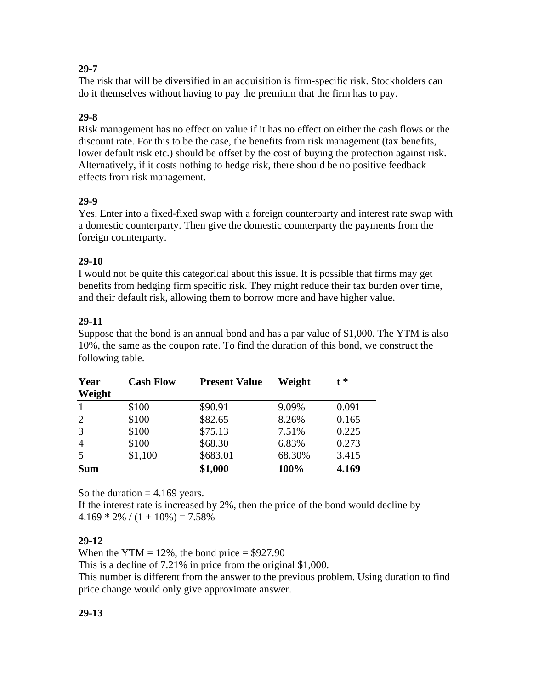# **29-7**

The risk that will be diversified in an acquisition is firm-specific risk. Stockholders can do it themselves without having to pay the premium that the firm has to pay.

# **29-8**

Risk management has no effect on value if it has no effect on either the cash flows or the discount rate. For this to be the case, the benefits from risk management (tax benefits, lower default risk etc.) should be offset by the cost of buying the protection against risk. Alternatively, if it costs nothing to hedge risk, there should be no positive feedback effects from risk management.

# **29-9**

Yes. Enter into a fixed-fixed swap with a foreign counterparty and interest rate swap with a domestic counterparty. Then give the domestic counterparty the payments from the foreign counterparty.

# **29-10**

I would not be quite this categorical about this issue. It is possible that firms may get benefits from hedging firm specific risk. They might reduce their tax burden over time, and their default risk, allowing them to borrow more and have higher value.

# **29-11**

Suppose that the bond is an annual bond and has a par value of \$1,000. The YTM is also 10%, the same as the coupon rate. To find the duration of this bond, we construct the following table.

| Year<br>Weight | <b>Cash Flow</b> | <b>Present Value</b> | Weight | $f^*$ |
|----------------|------------------|----------------------|--------|-------|
| $\mathbf{1}$   | \$100            | \$90.91              | 9.09%  | 0.091 |
| $\overline{2}$ | \$100            | \$82.65              | 8.26%  | 0.165 |
| 3              | \$100            | \$75.13              | 7.51%  | 0.225 |
| $\overline{4}$ | \$100            | \$68.30              | 6.83%  | 0.273 |
| 5              | \$1,100          | \$683.01             | 68.30% | 3.415 |
| <b>Sum</b>     |                  | \$1,000              | 100%   | 4.169 |

So the duration  $= 4.169$  years.

If the interest rate is increased by 2%, then the price of the bond would decline by  $4.169 * 2\% / (1 + 10\%) = 7.58\%$ 

# **29-12**

When the YTM =  $12\%$ , the bond price = \$927.90

This is a decline of 7.21% in price from the original \$1,000.

This number is different from the answer to the previous problem. Using duration to find price change would only give approximate answer.

# **29-13**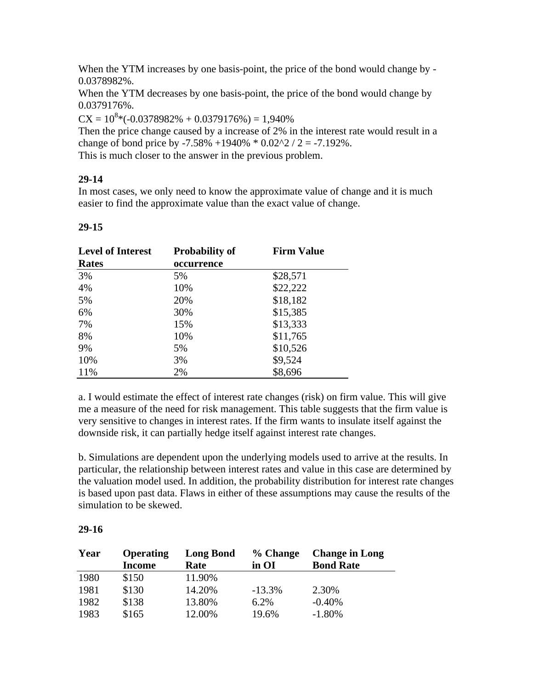When the YTM increases by one basis-point, the price of the bond would change by - 0.0378982%.

When the YTM decreases by one basis-point, the price of the bond would change by 0.0379176%.

 $CX = 10^{8}*(-0.0378982\% + 0.0379176\%) = 1,940\%$ 

Then the price change caused by a increase of 2% in the interest rate would result in a change of bond price by  $-7.58\% +1940\% * 0.02\frac{2}{2} = -7.192\%$ .

This is much closer to the answer in the previous problem.

### **29-14**

In most cases, we only need to know the approximate value of change and it is much easier to find the approximate value than the exact value of change.

#### **29-15**

| <b>Level of Interest</b> | <b>Probability of</b> | <b>Firm Value</b> |
|--------------------------|-----------------------|-------------------|
| <b>Rates</b>             | occurrence            |                   |
| 3%                       | 5%                    | \$28,571          |
| 4%                       | 10%                   | \$22,222          |
| 5%                       | 20%                   | \$18,182          |
| 6%                       | 30%                   | \$15,385          |
| 7%                       | 15%                   | \$13,333          |
| 8%                       | 10%                   | \$11,765          |
| 9%                       | 5%                    | \$10,526          |
| 10%                      | 3%                    | \$9,524           |
| 11%                      | 2%                    | \$8,696           |

a. I would estimate the effect of interest rate changes (risk) on firm value. This will give me a measure of the need for risk management. This table suggests that the firm value is very sensitive to changes in interest rates. If the firm wants to insulate itself against the downside risk, it can partially hedge itself against interest rate changes.

b. Simulations are dependent upon the underlying models used to arrive at the results. In particular, the relationship between interest rates and value in this case are determined by the valuation model used. In addition, the probability distribution for interest rate changes is based upon past data. Flaws in either of these assumptions may cause the results of the simulation to be skewed.

#### **29-16**

| Year | Operating     | <b>Long Bond</b> | % Change | <b>Change in Long</b> |
|------|---------------|------------------|----------|-----------------------|
|      | <b>Income</b> | Rate             | in OI    | <b>Bond Rate</b>      |
| 1980 | \$150         | 11.90%           |          |                       |
| 1981 | \$130         | 14.20%           | $-13.3%$ | 2.30%                 |
| 1982 | \$138         | 13.80%           | 6.2%     | $-0.40%$              |
| 1983 | \$165         | 12.00%           | 19.6%    | $-1.80%$              |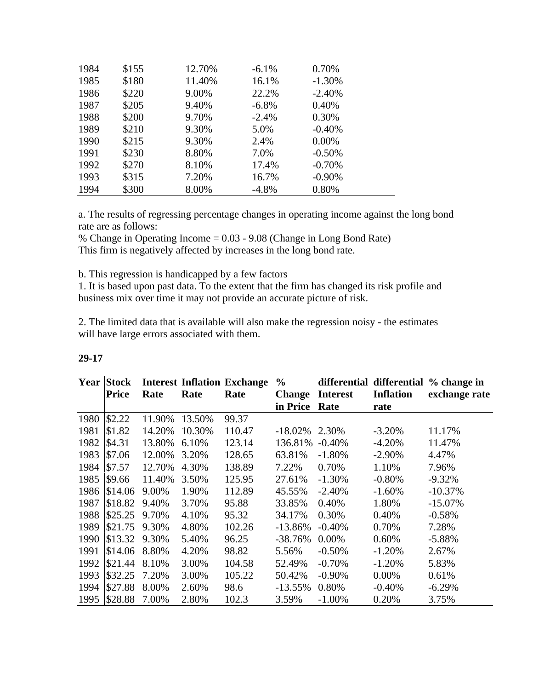| 1984 | \$155 | 12.70% | $-6.1%$ | 0.70%    |  |
|------|-------|--------|---------|----------|--|
| 1985 | \$180 | 11.40% | 16.1%   | $-1.30%$ |  |
| 1986 | \$220 | 9.00%  | 22.2%   | $-2.40%$ |  |
| 1987 | \$205 | 9.40%  | $-6.8%$ | 0.40%    |  |
| 1988 | \$200 | 9.70%  | $-2.4%$ | 0.30%    |  |
| 1989 | \$210 | 9.30%  | 5.0%    | $-0.40%$ |  |
| 1990 | \$215 | 9.30%  | 2.4%    | 0.00%    |  |
| 1991 | \$230 | 8.80%  | 7.0%    | $-0.50%$ |  |
| 1992 | \$270 | 8.10%  | 17.4%   | $-0.70%$ |  |
| 1993 | \$315 | 7.20%  | 16.7%   | $-0.90%$ |  |
| 1994 | \$300 | 8.00%  | $-4.8%$ | 0.80%    |  |

a. The results of regressing percentage changes in operating income against the long bond rate are as follows:

% Change in Operating Income = 0.03 - 9.08 (Change in Long Bond Rate) This firm is negatively affected by increases in the long bond rate.

b. This regression is handicapped by a few factors

1. It is based upon past data. To the extent that the firm has changed its risk profile and business mix over time it may not provide an accurate picture of risk.

2. The limited data that is available will also make the regression noisy - the estimates will have large errors associated with them.

|      | <b>Year Stock</b> |        |        | <b>Interest Inflation Exchange</b> | $\frac{6}{9}$ |                 |                  | differential differential % change in |
|------|-------------------|--------|--------|------------------------------------|---------------|-----------------|------------------|---------------------------------------|
|      | <b>Price</b>      | Rate   | Rate   | Rate                               | <b>Change</b> | <b>Interest</b> | <b>Inflation</b> | exchange rate                         |
|      |                   |        |        |                                    | in Price      | Rate            | rate             |                                       |
| 1980 | \$2.22            | 11.90% | 13.50% | 99.37                              |               |                 |                  |                                       |
| 1981 | \$1.82            | 14.20% | 10.30% | 110.47                             | $-18.02%$     | 2.30%           | $-3.20%$         | 11.17%                                |
| 1982 | \$4.31            | 13.80% | 6.10%  | 123.14                             | 136.81%       | $-0.40%$        | $-4.20%$         | 11.47%                                |
| 1983 | \$7.06            | 12.00% | 3.20%  | 128.65                             | 63.81%        | $-1.80%$        | $-2.90\%$        | 4.47%                                 |
| 1984 | \$7.57            | 12.70% | 4.30%  | 138.89                             | 7.22%         | 0.70%           | 1.10%            | 7.96%                                 |
| 1985 | \$9.66            | 11.40% | 3.50%  | 125.95                             | 27.61%        | $-1.30%$        | $-0.80%$         | $-9.32%$                              |
| 1986 | \$14.06           | 9.00%  | 1.90%  | 112.89                             | 45.55%        | $-2.40%$        | $-1.60%$         | $-10.37%$                             |
| 1987 | \$18.82           | 9.40%  | 3.70%  | 95.88                              | 33.85%        | 0.40%           | 1.80%            | $-15.07\%$                            |
| 1988 | \$25.25           | 9.70%  | 4.10%  | 95.32                              | 34.17%        | 0.30%           | 0.40%            | $-0.58%$                              |
| 1989 | \$21.75           | 9.30%  | 4.80%  | 102.26                             | $-13.86%$     | $-0.40%$        | 0.70%            | 7.28%                                 |
| 1990 | \$13.32           | 9.30%  | 5.40%  | 96.25                              | $-38.76%$     | 0.00%           | 0.60%            | $-5.88%$                              |
| 1991 | \$14.06           | 8.80%  | 4.20%  | 98.82                              | 5.56%         | $-0.50%$        | $-1.20%$         | 2.67%                                 |
| 1992 | \$21.44           | 8.10%  | 3.00%  | 104.58                             | 52.49%        | $-0.70%$        | $-1.20%$         | 5.83%                                 |
| 1993 | \$32.25           | 7.20%  | 3.00%  | 105.22                             | 50.42%        | $-0.90\%$       | $0.00\%$         | 0.61%                                 |
| 1994 | \$27.88           | 8.00%  | 2.60%  | 98.6                               | $-13.55%$     | 0.80%           | $-0.40%$         | $-6.29%$                              |
| 1995 | \$28.88           | 7.00%  | 2.80%  | 102.3                              | 3.59%         | $-1.00%$        | 0.20%            | 3.75%                                 |